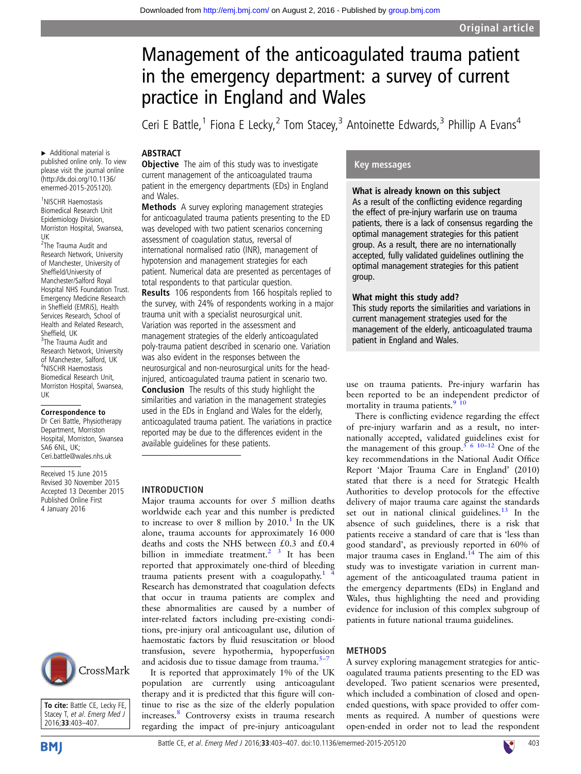# Management of the anticoagulated trauma patient in the emergency department: a survey of current practice in England and Wales

Ceri E Battle,<sup>1</sup> Fiona E Lecky,<sup>2</sup> Tom Stacey,<sup>3</sup> Antoinette Edwards,<sup>3</sup> Phillip A Evans<sup>4</sup>

## **ABSTRACT**

**Objective** The aim of this study was to investigate current management of the anticoagulated trauma patient in the emergency departments (EDs) in England and Wales.

Methods A survey exploring management strategies for anticoagulated trauma patients presenting to the ED was developed with two patient scenarios concerning assessment of coagulation status, reversal of international normalised ratio (INR), management of hypotension and management strategies for each patient. Numerical data are presented as percentages of total respondents to that particular question.

Results 106 respondents from 166 hospitals replied to the survey, with 24% of respondents working in a major trauma unit with a specialist neurosurgical unit. Variation was reported in the assessment and management strategies of the elderly anticoagulated poly-trauma patient described in scenario one. Variation was also evident in the responses between the neurosurgical and non-neurosurgical units for the headinjured, anticoagulated trauma patient in scenario two. Conclusion The results of this study highlight the similarities and variation in the management strategies used in the EDs in England and Wales for the elderly, anticoagulated trauma patient. The variations in practice reported may be due to the differences evident in the available guidelines for these patients.

#### INTRODUCTION

Major trauma accounts for over 5 million deaths worldwide each year and this number is predicted to increase to over 8 million by  $2010<sup>1</sup>$  In the UK alone, trauma accounts for approximately 16 000 deaths and costs the NHS between £0.3 and £0.4 billion in immediate treatment.<sup>2</sup>  $3$  It has been reported that approximately one-third of bleeding trauma patients present with a coagulopathy. $1$ Research has demonstrated that coagulation defects that occur in trauma patients are complex and these abnormalities are caused by a number of inter-related factors including pre-existing conditions, pre-injury oral anticoagulant use, dilution of haemostatic factors by fluid resuscitation or blood transfusion, severe hypothermia, hypoperfusion and acidosis due to tissue damage from trauma.<sup>[5](#page-4-0)–</sup>

It is reported that approximately 1% of the UK population are currently using anticoagulant therapy and it is predicted that this figure will continue to rise as the size of the elderly population increases.[8](#page-4-0) Controversy exists in trauma research regarding the impact of pre-injury anticoagulant

### Key messages

What is already known on this subject As a result of the conflicting evidence regarding the effect of pre-injury warfarin use on trauma patients, there is a lack of consensus regarding the optimal management strategies for this patient group. As a result, there are no internationally accepted, fully validated guidelines outlining the optimal management strategies for this patient group.

#### What might this study add?

This study reports the similarities and variations in current management strategies used for the management of the elderly, anticoagulated trauma patient in England and Wales.

use on trauma patients. Pre-injury warfarin has been reported to be an independent predictor of mortality in trauma patients.<sup>9</sup> <sup>10</sup>

There is conflicting evidence regarding the effect of pre-injury warfarin and as a result, no internationally accepted, validated guidelines exist for the management of this group.<sup>5 6 10–12</sup> One of the key recommendations in the National Audit Office Report 'Major Trauma Care in England' (2010) stated that there is a need for Strategic Health Authorities to develop protocols for the effective delivery of major trauma care against the standards set out in national clinical guidelines. $13$  In the absence of such guidelines, there is a risk that patients receive a standard of care that is 'less than good standard', as previously reported in 60% of major trauma cases in England.<sup>14</sup> The aim of this study was to investigate variation in current management of the anticoagulated trauma patient in the emergency departments (EDs) in England and Wales, thus highlighting the need and providing evidence for inclusion of this complex subgroup of patients in future national trauma guidelines.

#### METHODS

A survey exploring management strategies for anticoagulated trauma patients presenting to the ED was developed. Two patient scenarios were presented, which included a combination of closed and openended questions, with space provided to offer comments as required. A number of questions were open-ended in order not to lead the respondent

▸ Additional material is published online only. To view please visit the journal online [\(http://dx.doi.org/10.1136/](http://dx.doi.org/10.1136/emermed-2015-205120) [emermed-2015-205120](http://dx.doi.org/10.1136/emermed-2015-205120)).

1 NISCHR Haemostasis Biomedical Research Unit Epidemiology Division, Morriston Hospital, Swansea, UK

2 The Trauma Audit and Research Network, University of Manchester, University of Sheffield/University of Manchester/Salford Royal Hospital NHS Foundation Trust. Emergency Medicine Research in Sheffield (EMRiS), Health Services Research, School of Health and Related Research, Sheffield, UK <sup>3</sup>The Trauma Audit and Research Network, University of Manchester, Salford, UK 4 NISCHR Haemostasis Biomedical Research Unit, Morriston Hospital, Swansea, UK

#### Correspondence to

Dr Ceri Battle, Physiotherapy Department, Morriston Hospital, Morriston, Swansea SA6 6NL, UK; Ceri.battle@wales.nhs.uk

Received 15 June 2015 Revised 30 November 2015 Accepted 13 December 2015 Published Online First 4 January 2016



To cite: Battle CE, Lecky FE, Stacey T, et al. Emerg Med J 2016;33:403–407.

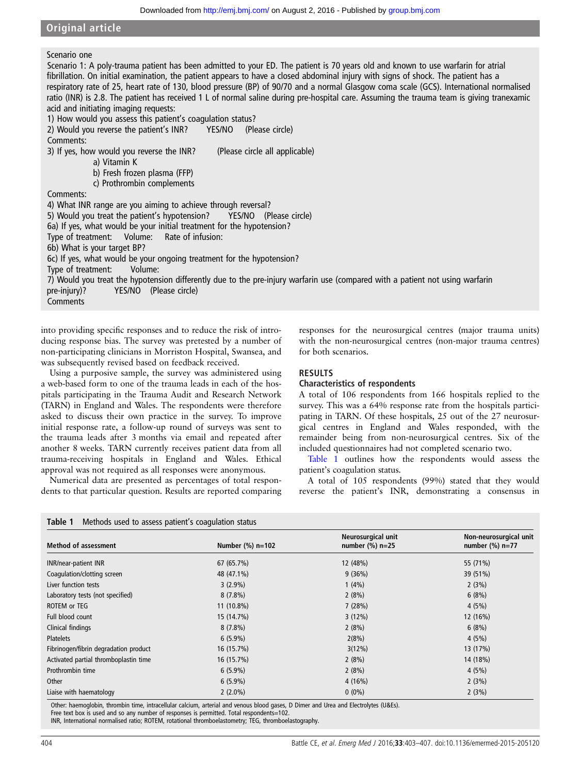## Original article

## Scenario one

Scenario 1: A poly-trauma patient has been admitted to your ED. The patient is 70 years old and known to use warfarin for atrial fibrillation. On initial examination, the patient appears to have a closed abdominal injury with signs of shock. The patient has a respiratory rate of 25, heart rate of 130, blood pressure (BP) of 90/70 and a normal Glasgow coma scale (GCS). International normalised ratio (INR) is 2.8. The patient has received 1 L of normal saline during pre-hospital care. Assuming the trauma team is giving tranexamic acid and initiating imaging requests:

1) How would you assess this patient's coagulation status?

2) Would you reverse the patient's INR? YES/NO (Please circle) Comments: 3) If yes, how would you reverse the INR? (Please circle all applicable) a) Vitamin K b) Fresh frozen plasma (FFP) c) Prothrombin complements Comments: 4) What INR range are you aiming to achieve through reversal? 5) Would you treat the patient's hypotension? YES/NO (Please circle) 6a) If yes, what would be your initial treatment for the hypotension? Type of treatment: Volume: Rate of infusion: 6b) What is your target BP? 6c) If yes, what would be your ongoing treatment for the hypotension? Type of treatment: Volume: 7) Would you treat the hypotension differently due to the pre-injury warfarin use (compared with a patient not using warfarin pre-injury)? YES/NO (Please circle) **Comments** 

into providing specific responses and to reduce the risk of introducing response bias. The survey was pretested by a number of non-participating clinicians in Morriston Hospital, Swansea, and was subsequently revised based on feedback received.

Using a purposive sample, the survey was administered using a web-based form to one of the trauma leads in each of the hospitals participating in the Trauma Audit and Research Network (TARN) in England and Wales. The respondents were therefore asked to discuss their own practice in the survey. To improve initial response rate, a follow-up round of surveys was sent to the trauma leads after 3 months via email and repeated after another 8 weeks. TARN currently receives patient data from all trauma-receiving hospitals in England and Wales. Ethical approval was not required as all responses were anonymous.

Numerical data are presented as percentages of total respondents to that particular question. Results are reported comparing

Table 1 Methods used to assess patient's coagulation status

responses for the neurosurgical centres (major trauma units) with the non-neurosurgical centres (non-major trauma centres) for both scenarios.

## RESULTS

#### Characteristics of respondents

A total of 106 respondents from 166 hospitals replied to the survey. This was a 64% response rate from the hospitals participating in TARN. Of these hospitals, 25 out of the 27 neurosurgical centres in England and Wales responded, with the remainder being from non-neurosurgical centres. Six of the included questionnaires had not completed scenario two.

Table 1 outlines how the respondents would assess the patient's coagulation status.

A total of 105 respondents (99%) stated that they would reverse the patient's INR, demonstrating a consensus in

| Table T<br>- Metriods used to assess patient's coaquiation status |                     |                                          |                                              |
|-------------------------------------------------------------------|---------------------|------------------------------------------|----------------------------------------------|
| <b>Method of assessment</b>                                       | Number $(\%)$ n=102 | Neurosurgical unit<br>number $(\%)$ n=25 | Non-neurosurgical unit<br>number $(\%)$ n=77 |
| <b>INR/near-patient INR</b>                                       | 67 (65.7%)          | 12 (48%)                                 | 55 (71%)                                     |
| Coagulation/clotting screen                                       | 48 (47.1%)          | 9(36%)                                   | 39 (51%)                                     |
| Liver function tests                                              | $3(2.9\%)$          | $1(4\%)$                                 | 2(3%)                                        |
| Laboratory tests (not specified)                                  | $8(7.8\%)$          | 2(8%)                                    | 6(8%)                                        |
| ROTEM or TEG                                                      | 11 (10.8%)          | 7(28%)                                   | 4(5%)                                        |
| Full blood count                                                  | 15 (14.7%)          | 3(12%)                                   | 12 (16%)                                     |
| Clinical findings                                                 | $8(7.8\%)$          | 2(8%)                                    | 6(8%)                                        |
| <b>Platelets</b>                                                  | $6(5.9\%)$          | 2(8%)                                    | 4(5%)                                        |
| Fibrinogen/fibrin degradation product                             | 16 (15.7%)          | 3(12%)                                   | 13 (17%)                                     |
| Activated partial thromboplastin time                             | 16 (15.7%)          | 2(8%)                                    | 14 (18%)                                     |
| Prothrombin time                                                  | $6(5.9\%)$          | 2(8%)                                    | 4(5%)                                        |
| Other                                                             | $6(5.9\%)$          | 4(16%)                                   | 2(3%)                                        |
| Liaise with haematology                                           | $2(2.0\%)$          | $0(0\%)$                                 | 2(3%)                                        |

Other: haemoglobin, thrombin time, intracellular calcium, arterial and venous blood gases, D Dimer and Urea and Electrolytes (U&Es).

Free text box is used and so any number of responses is permitted. Total respondents=102.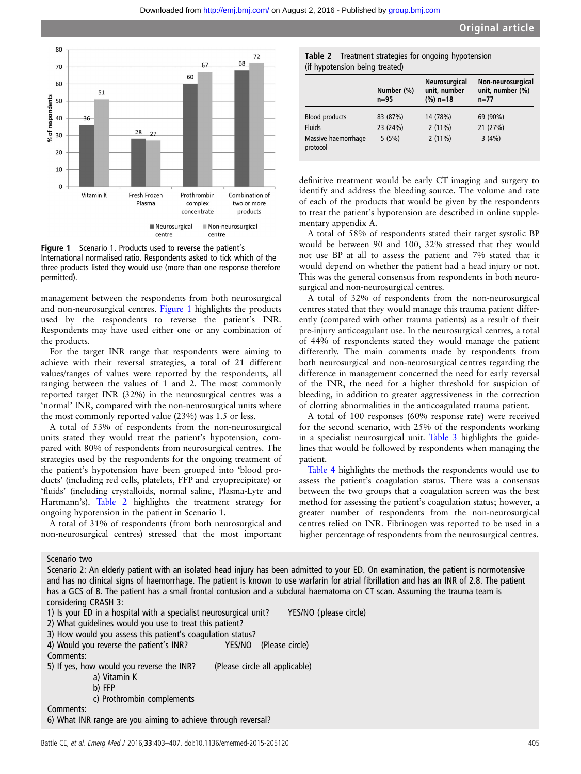



management between the respondents from both neurosurgical and non-neurosurgical centres. Figure 1 highlights the products used by the respondents to reverse the patient's INR. Respondents may have used either one or any combination of the products.

For the target INR range that respondents were aiming to achieve with their reversal strategies, a total of 21 different values/ranges of values were reported by the respondents, all ranging between the values of 1 and 2. The most commonly reported target INR (32%) in the neurosurgical centres was a 'normal' INR, compared with the non-neurosurgical units where the most commonly reported value (23%) was 1.5 or less.

A total of 53% of respondents from the non-neurosurgical units stated they would treat the patient's hypotension, compared with 80% of respondents from neurosurgical centres. The strategies used by the respondents for the ongoing treatment of the patient's hypotension have been grouped into 'blood products' (including red cells, platelets, FFP and cryoprecipitate) or 'fluids' (including crystalloids, normal saline, Plasma-Lyte and Hartmann's). Table 2 highlights the treatment strategy for ongoing hypotension in the patient in Scenario 1.

A total of 31% of respondents (from both neurosurgical and non-neurosurgical centres) stressed that the most important

Table 2 Treatment strategies for ongoing hypotension (if hypotension being treated)

|                                 | Number (%)<br>$n=95$ | Neurosurgical<br>unit, number<br>$(\%)$ n=18 | Non-neurosurgical<br>unit, number (%)<br>$n = 77$ |
|---------------------------------|----------------------|----------------------------------------------|---------------------------------------------------|
| <b>Blood products</b>           | 83 (87%)             | 14 (78%)                                     | 69 (90%)                                          |
| <b>Fluids</b>                   | 23 (24%)             | $2(11\%)$                                    | 21 (27%)                                          |
| Massive haemorrhage<br>protocol | 5(5%)                | $2(11\%)$                                    | 3(4%)                                             |

definitive treatment would be early CT imaging and surgery to identify and address the bleeding source. The volume and rate of each of the products that would be given by the respondents to treat the patient's hypotension are described in online supplementary appendix A.

A total of 58% of respondents stated their target systolic BP would be between 90 and 100, 32% stressed that they would not use BP at all to assess the patient and 7% stated that it would depend on whether the patient had a head injury or not. This was the general consensus from respondents in both neurosurgical and non-neurosurgical centres.

A total of 32% of respondents from the non-neurosurgical centres stated that they would manage this trauma patient differently (compared with other trauma patients) as a result of their pre-injury anticoagulant use. In the neurosurgical centres, a total of 44% of respondents stated they would manage the patient differently. The main comments made by respondents from both neurosurgical and non-neurosurgical centres regarding the difference in management concerned the need for early reversal of the INR, the need for a higher threshold for suspicion of bleeding, in addition to greater aggressiveness in the correction of clotting abnormalities in the anticoagulated trauma patient.

A total of 100 responses (60% response rate) were received for the second scenario, with 25% of the respondents working in a specialist neurosurgical unit. [Table 3](#page-3-0) highlights the guidelines that would be followed by respondents when managing the patient.

[Table 4](#page-3-0) highlights the methods the respondents would use to assess the patient's coagulation status. There was a consensus between the two groups that a coagulation screen was the best method for assessing the patient's coagulation status; however, a greater number of respondents from the non-neurosurgical centres relied on INR. Fibrinogen was reported to be used in a higher percentage of respondents from the neurosurgical centres.

Scenario two

Scenario 2: An elderly patient with an isolated head injury has been admitted to your ED. On examination, the patient is normotensive and has no clinical signs of haemorrhage. The patient is known to use warfarin for atrial fibrillation and has an INR of 2.8. The patient has a GCS of 8. The patient has a small frontal contusion and a subdural haematoma on CT scan. Assuming the trauma team is considering CRASH 3:

1) Is your ED in a hospital with a specialist neurosurgical unit? YES/NO (please circle)

Comments:

5) If yes, how would you reverse the INR? (Please circle all applicable)

- a) Vitamin K
- b) FFP c) Prothrombin complements

Comments:

6) What INR range are you aiming to achieve through reversal?

<sup>2)</sup> What guidelines would you use to treat this patient? 3) How would you assess this patient's coagulation status?

<sup>4)</sup> Would you reverse the patient's INR? YES/NO (Please circle)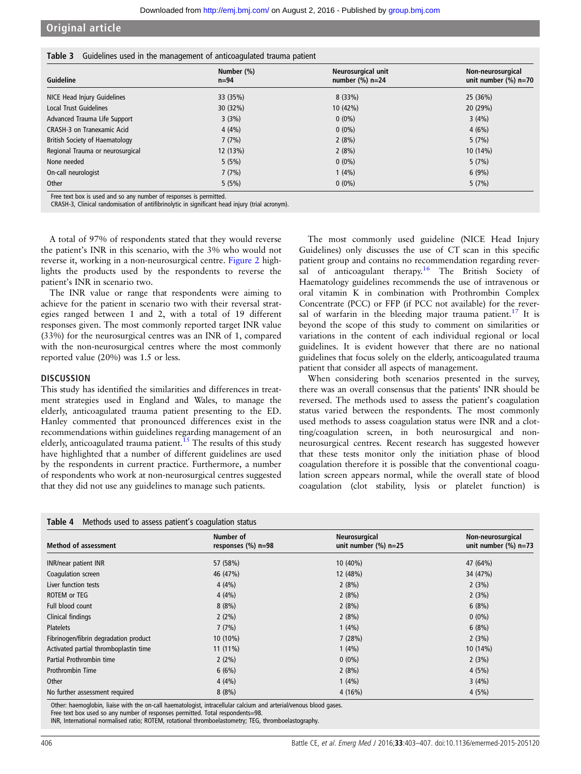## <span id="page-3-0"></span>Original article

| Table 3 Guidelines used in the management of anticoagulated trauma patient |  |
|----------------------------------------------------------------------------|--|
|----------------------------------------------------------------------------|--|

| Guideline                        | Number (%)<br>$n=94$ | Neurosurgical unit<br>number $(\%)$ n=24 | Non-neurosurgical<br>unit number $(\%)$ n=70 |
|----------------------------------|----------------------|------------------------------------------|----------------------------------------------|
| NICE Head Injury Guidelines      | 33 (35%)             | 8(33%)                                   | 25 (36%)                                     |
| <b>Local Trust Guidelines</b>    | 30 (32%)             | $10(42\%)$                               | 20 (29%)                                     |
| Advanced Trauma Life Support     | 3(3%)                | $0(0\%)$                                 | 3(4%)                                        |
| CRASH-3 on Tranexamic Acid       | 4(4%)                | $0(0\%)$                                 | 4(6%)                                        |
| British Society of Haematology   | 7(7%)                | 2(8%)                                    | 5(7%)                                        |
| Regional Trauma or neurosurgical | 12 (13%)             | 2(8%)                                    | 10 (14%)                                     |
| None needed                      | 5(5%)                | $0(0\%)$                                 | 5(7%)                                        |
| On-call neurologist              | 7(7%)                | 1(4%)                                    | 6(9%)                                        |
| Other                            | 5(5%)                | $0(0\%)$                                 | 5(7%)                                        |

Free text box is used and so any number of responses is permitted. CRASH-3, Clinical randomisation of antifibrinolytic in significant head injury (trial acronym).

A total of 97% of respondents stated that they would reverse the patient's INR in this scenario, with the 3% who would not reverse it, working in a non-neurosurgical centre. [Figure 2](#page-4-0) highlights the products used by the respondents to reverse the patient's INR in scenario two.

The INR value or range that respondents were aiming to achieve for the patient in scenario two with their reversal strategies ranged between 1 and 2, with a total of 19 different responses given. The most commonly reported target INR value (33%) for the neurosurgical centres was an INR of 1, compared with the non-neurosurgical centres where the most commonly reported value (20%) was 1.5 or less.

#### **DISCUSSION**

This study has identified the similarities and differences in treatment strategies used in England and Wales, to manage the elderly, anticoagulated trauma patient presenting to the ED. Hanley commented that pronounced differences exist in the recommendations within guidelines regarding management of an elderly, anticoagulated trauma patient.<sup>[15](#page-4-0)</sup> The results of this study have highlighted that a number of different guidelines are used by the respondents in current practice. Furthermore, a number of respondents who work at non-neurosurgical centres suggested that they did not use any guidelines to manage such patients.

The most commonly used guideline (NICE Head Injury Guidelines) only discusses the use of CT scan in this specific patient group and contains no recommendation regarding rever-sal of anticoagulant therapy.<sup>[16](#page-4-0)</sup> The British Society of Haematology guidelines recommends the use of intravenous or oral vitamin K in combination with Prothrombin Complex Concentrate (PCC) or FFP (if PCC not available) for the rever-sal of warfarin in the bleeding major trauma patient.<sup>[17](#page-4-0)</sup> It is beyond the scope of this study to comment on similarities or variations in the content of each individual regional or local guidelines. It is evident however that there are no national guidelines that focus solely on the elderly, anticoagulated trauma patient that consider all aspects of management.

When considering both scenarios presented in the survey, there was an overall consensus that the patients' INR should be reversed. The methods used to assess the patient's coagulation status varied between the respondents. The most commonly used methods to assess coagulation status were INR and a clotting/coagulation screen, in both neurosurgical and nonneurosurgical centres. Recent research has suggested however that these tests monitor only the initiation phase of blood coagulation therefore it is possible that the conventional coagulation screen appears normal, while the overall state of blood coagulation (clot stability, lysis or platelet function) is

| Table 4<br>Methods used to assess patient's coagulation status |                                    |                                          |                                              |
|----------------------------------------------------------------|------------------------------------|------------------------------------------|----------------------------------------------|
| <b>Method of assessment</b>                                    | Number of<br>responses $(\%)$ n=98 | Neurosurgical<br>unit number $(\%)$ n=25 | Non-neurosurgical<br>unit number $(\%)$ n=73 |
| <b>INR/near patient INR</b>                                    | 57 (58%)                           | 10 (40%)                                 | 47 (64%)                                     |
| Coagulation screen                                             | 46 (47%)                           | 12 (48%)                                 | 34 (47%)                                     |
| Liver function tests                                           | 4(4%)                              | 2(8%)                                    | 2(3%)                                        |
| <b>ROTEM or TEG</b>                                            | 4(4%)                              | 2(8%)                                    | 2(3%)                                        |
| Full blood count                                               | 8(8%)                              | 2(8%)                                    | 6(8%)                                        |
| Clinical findings                                              | $2(2\%)$                           | 2(8%)                                    | $0(0\%)$                                     |
| <b>Platelets</b>                                               | 7(7%)                              | 1(4%)                                    | 6(8%)                                        |
| Fibrinogen/fibrin degradation product                          | 10 (10%)                           | 7(28%)                                   | 2(3%)                                        |
| Activated partial thromboplastin time                          | $11(11\%)$                         | 1(4%)                                    | 10(14%)                                      |
| Partial Prothrombin time                                       | $2(2\%)$                           | $0(0\%)$                                 | 2(3%)                                        |
| Prothrombin Time                                               | 6(6%)                              | 2(8%)                                    | 4(5%)                                        |
| Other                                                          | 4(4%)                              | 1(4%)                                    | 3(4%)                                        |
| No further assessment required                                 | 8(8%)                              | 4(16%)                                   | 4(5%)                                        |

Other: haemoglobin, liaise with the on-call haematologist, intracellular calcium and arterial/venous blood gases.

Free text box used so any number of responses permitted. Total respondents=98.

INR, International normalised ratio; ROTEM, rotational thromboelastometry; TEG, thromboelastography.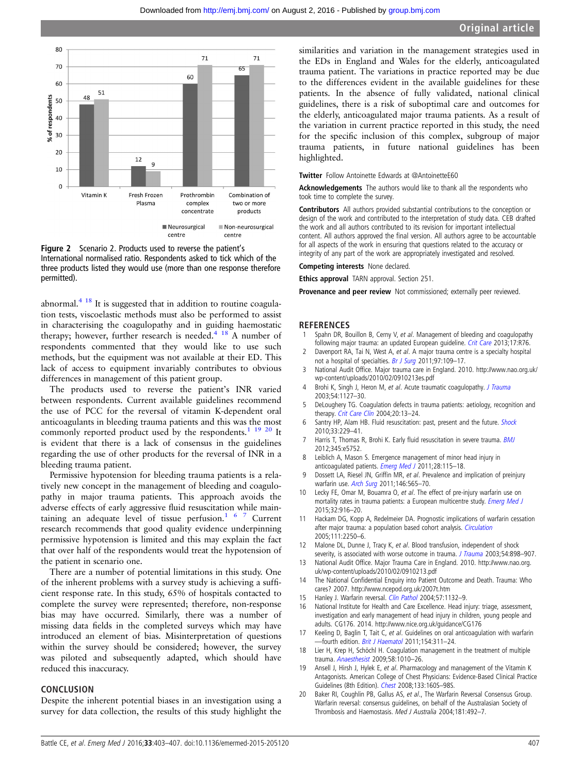<span id="page-4-0"></span>



abnormal. $4 \frac{18}{18}$  It is suggested that in addition to routine coagulation tests, viscoelastic methods must also be performed to assist in characterising the coagulopathy and in guiding haemostatic therapy; however, further research is needed.<sup>4</sup> <sup>18</sup> A number of respondents commented that they would like to use such methods, but the equipment was not available at their ED. This lack of access to equipment invariably contributes to obvious differences in management of this patient group.

The products used to reverse the patient's INR varied between respondents. Current available guidelines recommend the use of PCC for the reversal of vitamin K-dependent oral anticoagulants in bleeding trauma patients and this was the most commonly reported product used by the respondents.<sup>1</sup> <sup>19</sup> <sup>20</sup> It is evident that there is a lack of consensus in the guidelines regarding the use of other products for the reversal of INR in a bleeding trauma patient.

Permissive hypotension for bleeding trauma patients is a relatively new concept in the management of bleeding and coagulopathy in major trauma patients. This approach avoids the adverse effects of early aggressive fluid resuscitation while maintaining an adequate level of tissue perfusion.<sup>167</sup> Current research recommends that good quality evidence underpinning permissive hypotension is limited and this may explain the fact that over half of the respondents would treat the hypotension of the patient in scenario one.

There are a number of potential limitations in this study. One of the inherent problems with a survey study is achieving a sufficient response rate. In this study, 65% of hospitals contacted to complete the survey were represented; therefore, non-response bias may have occurred. Similarly, there was a number of missing data fields in the completed surveys which may have introduced an element of bias. Misinterpretation of questions within the survey should be considered; however, the survey was piloted and subsequently adapted, which should have reduced this inaccuracy.

#### CONCLUSION

Despite the inherent potential biases in an investigation using a survey for data collection, the results of this study highlight the

similarities and variation in the management strategies used in the EDs in England and Wales for the elderly, anticoagulated trauma patient. The variations in practice reported may be due to the differences evident in the available guidelines for these patients. In the absence of fully validated, national clinical guidelines, there is a risk of suboptimal care and outcomes for the elderly, anticoagulated major trauma patients. As a result of the variation in current practice reported in this study, the need for the specific inclusion of this complex, subgroup of major trauma patients, in future national guidelines has been highlighted.

Twitter Follow Antoinette Edwards at [@AntoinetteE60](http://twitter.com/AntoinetteE60)

Acknowledgements The authors would like to thank all the respondents who took time to complete the survey.

Contributors All authors provided substantial contributions to the conception or design of the work and contributed to the interpretation of study data. CEB drafted the work and all authors contributed to its revision for important intellectual content. All authors approved the final version. All authors agree to be accountable for all aspects of the work in ensuring that questions related to the accuracy or integrity of any part of the work are appropriately investigated and resolved.

Competing interests None declared.

Ethics approval TARN approval. Section 251.

Provenance and peer review Not commissioned; externally peer reviewed.

#### **REFERENCES**

- 1 Spahn DR, Bouillon B, Cerny V, et al. Management of bleeding and coagulopathy following major trauma: an updated European guideline. [Crit Care](http://dx.doi.org/10.1186/cc12685) 2013;17:R76.
- 2 Davenport RA, Tai N, West A, et al. A major trauma centre is a specialty hospital not a hospital of specialties. [Br J Surg](http://dx.doi.org/10.1002/bjs.6806) 2011;97:109-17.
- 3 National Audit Office. Major trauma care in England. 2010. [http://www.nao.org.uk/](http://www.nao.org.uk/wp-content/uploads/2010/02/0910213es.pdf) [wp-content/uploads/2010/02/0910213es.pdf](http://www.nao.org.uk/wp-content/uploads/2010/02/0910213es.pdf)
- Brohi K, Singh J, Heron M, et al. Acute traumatic coagulopathy. [J Trauma](http://dx.doi.org/10.1097/01.TA.0000069184.82147.06) 2003;54:1127–30.
- 5 DeLoughery TG. Coagulation defects in trauma patients: aetiology, recognition and therapy. [Crit Care Clin](http://dx.doi.org/10.1016/S0749-0704(03)00089-7) 2004;20:13-24.
- 6 Santry HP, Alam HB. Fluid resuscitation: past, present and the future. [Shock](http://dx.doi.org/10.1097/SHK.0b013e3181c30f0c) 2010;33:229–41.
- 7 Harris T, Thomas R, Brohi K. Early fluid resuscitation in severe trauma. [BMJ](http://dx.doi.org/10.1136/bmj.e5752) 2012;345:e5752.
- 8 Leiblich A, Mason S. Emergence management of minor head injury in anticoagulated patients. [Emerg Med J](http://dx.doi.org/10.1136/emj.2009.079442) 2011;28:115-18.
- 9 Dossett LA, Riesel JN, Griffin MR, et al. Prevalence and implication of preinjury warfarin use. [Arch Surg](http://dx.doi.org/10.1001/archsurg.2010.313) 2011;146:565–70.
- 10 Lecky FE, Omar M, Bouamra O, et al. The effect of pre-injury warfarin use on mortality rates in trauma patients: a European multicentre study. *[Emerg Med J](http://dx.doi.org/10.1136/emermed-2014-203959)* 2015;32:916–20.
- 11 Hackam DG, Kopp A, Redelmeier DA. Prognostic implications of warfarin cessation after major trauma: a population based cohort analysis. [Circulation](http://dx.doi.org/10.1161/01.CIR.0000163548.38396.E7) 2005;111:2250–6.
- 12 Malone DL, Dunne J, Tracy K, et al. Blood transfusion, independent of shock severity, is associated with worse outcome in trauma. [J Trauma](http://dx.doi.org/10.1097/01.TA.0000060261.10597.5C) 2003;54:898-907.
- 13 National Audit Office. Major Trauma Care in England. 2010. [http://www.nao.org.](http://www.nao.org.uk/wp-content/uploads/2010/02/0910213.pdf) [uk/wp-content/uploads/2010/02/0910213.pdf](http://www.nao.org.uk/wp-content/uploads/2010/02/0910213.pdf)
- 14 The National Confidential Enquiry into Patient Outcome and Death. Trauma: Who cares? 2007.<http://www.ncepod.org.uk/2007t.htm>
- 15 Hanley J. Warfarin reversal. [Clin Pathol](http://dx.doi.org/10.1136/jcp.2003.008904) 2004;57:1132-9.
- 16 National Institute for Health and Care Excellence. Head injury: triage, assessment, investigation and early management of head injury in children, young people and adults. CG176. 2014.<http://www.nice.org.uk/guidance/CG176>
- 17 Keeling D, Baglin T, Tait C, et al. Guidelines on oral anticoagulation with warfarin —fourth edition. [Brit J Haematol](http://dx.doi.org/10.1111/j.1365-2141.2011.08753.x) 2011;154:311–24.
- 18 Lier H, Krep H, Schöchl H. Coagulation management in the treatment of multiple trauma. [Anaesthesist](http://dx.doi.org/10.1007/s00101-009-1595-z) 2009;58:1010–26.
- 19 Ansell J, Hirsh J, Hylek E, et al. Pharmacology and management of the Vitamin K Antagonists. American College of Chest Physicians: Evidence-Based Clinical Practice Guidelines (8th Edition). [Chest](http://dx.doi.org/10.1378/chest.08-0670) 2008;133:160S–98S.
- 20 Baker RI, Coughlin PB, Gallus AS, et al., The Warfarin Reversal Consensus Group. Warfarin reversal: consensus guidelines, on behalf of the Australasian Society of Thrombosis and Haemostasis. Med J Australia 2004;181:492–7.